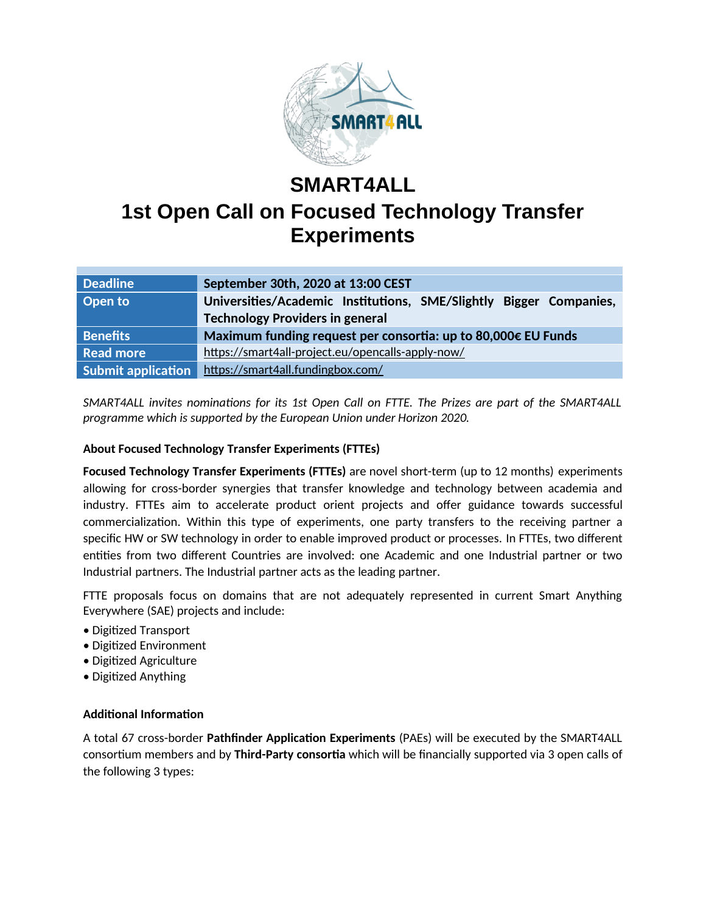

# **SMART4ALL 1st Open Call on Focused Technology Transfer Experiments**

| <b>Deadline</b>           | September 30th, 2020 at 13:00 CEST                                 |
|---------------------------|--------------------------------------------------------------------|
| Open to                   | Universities/Academic Institutions, SME/Slightly Bigger Companies, |
|                           | <b>Technology Providers in general</b>                             |
| <b>Benefits</b>           | Maximum funding request per consortia: up to 80,000€ EU Funds      |
| <b>Read more</b>          | https://smart4all-project.eu/opencalls-apply-now/                  |
| <b>Submit application</b> | https://smart4all.fundingbox.com/                                  |

*SMART4ALL invites nominations for its 1st Open Call on FTTE. The Prizes are part of the SMART4ALL programme which is supported by the European Union under Horizon 2020.*

## **About Focused Technology Transfer Experiments (FTTEs)**

**Focused Technology Transfer Experiments (FTTEs)** are novel short-term (up to 12 months) experiments allowing for cross-border synergies that transfer knowledge and technology between academia and industry. FTTEs aim to accelerate product orient projects and offer guidance towards successful commercialization. Within this type of experiments, one party transfers to the receiving partner a specific HW or SW technology in order to enable improved product or processes. In FTTEs, two different entities from two different Countries are involved: one Academic and one Industrial partner or two Industrial partners. The Industrial partner acts as the leading partner.

FTTE proposals focus on domains that are not adequately represented in current Smart Anything Everywhere (SAE) projects and include:

- Digitized Transport
- Digitized Environment
- Digitized Agriculture
- Digitized Anything

#### **Additional Information**

A total 67 cross-border **Pathfinder Application Experiments** (PAEs) will be executed by the SMART4ALL consortium members and by **Third-Party consortia** which will be financially supported via 3 open calls of the following 3 types: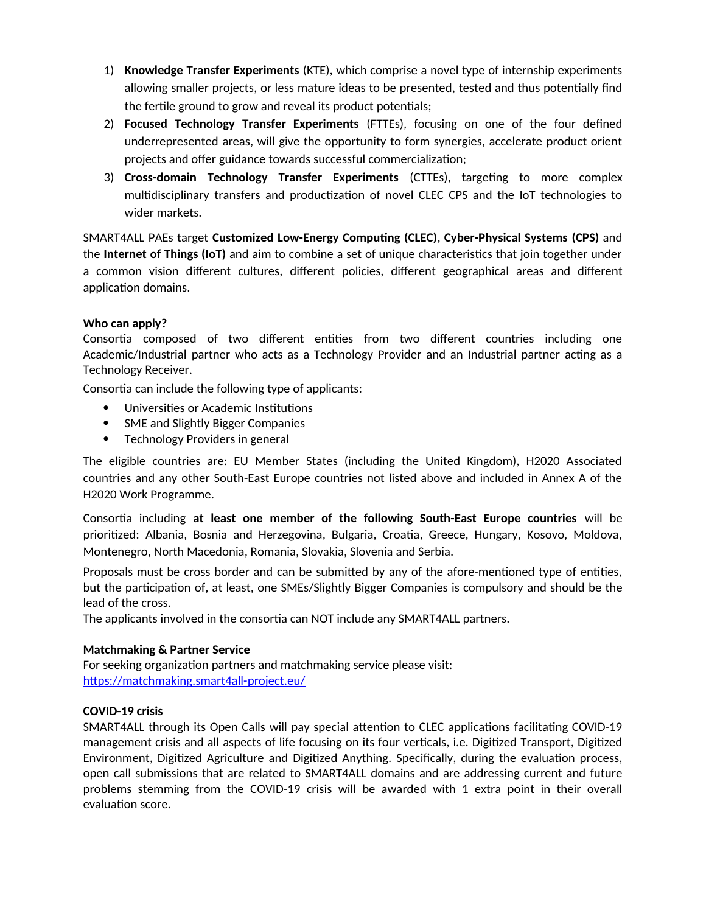- 1) **Knowledge Transfer Experiments** (KTE), which comprise a novel type of internship experiments allowing smaller projects, or less mature ideas to be presented, tested and thus potentially find the fertile ground to grow and reveal its product potentials;
- 2) **Focused Technology Transfer Experiments** (FTTEs), focusing on one of the four defined underrepresented areas, will give the opportunity to form synergies, accelerate product orient projects and offer guidance towards successful commercialization;
- 3) **Cross-domain Technology Transfer Experiments** (CTTEs), targeting to more complex multidisciplinary transfers and productization of novel CLEC CPS and the IoT technologies to wider markets.

SMART4ALL PAEs target **Customized Low-Energy Computing (CLEC)**, **Cyber-Physical Systems (CPS)** and the **Internet of Things (IoT)** and aim to combine a set of unique characteristics that join together under a common vision different cultures, different policies, different geographical areas and different application domains.

## **Who can apply?**

Consortia composed of two different entities from two different countries including one Academic/Industrial partner who acts as a Technology Provider and an Industrial partner acting as a Technology Receiver.

Consortia can include the following type of applicants:

- Universities or Academic Institutions
- SME and Slightly Bigger Companies
- Technology Providers in general

The eligible countries are: EU Member States (including the United Kingdom), H2020 Associated countries and any other South-East Europe countries not listed above and included in Annex A of the H2020 Work Programme.

Consortia including **at least one member of the following South-East Europe countries** will be prioritized: Albania, Bosnia and Herzegovina, Bulgaria, Croatia, Greece, Hungary, Kosovo, Moldova, Montenegro, North Macedonia, Romania, Slovakia, Slovenia and Serbia.

Proposals must be cross border and can be submitted by any of the afore-mentioned type of entities, but the participation of, at least, one SMEs/Slightly Bigger Companies is compulsory and should be the lead of the cross.

The applicants involved in the consortia can NOT include any SMART4ALL partners.

#### **Matchmaking & Partner Service**

For seeking organization partners and matchmaking service please visit: https://matchmaking.smart4all-project.eu/

#### **COVID-19 crisis**

SMART4ALL through its Open Calls will pay special attention to CLEC applications facilitating COVID-19 management crisis and all aspects of life focusing on its four verticals, i.e. Digitized Transport, Digitized Environment, Digitized Agriculture and Digitized Anything. Specifically, during the evaluation process, open call submissions that are related to SMART4ALL domains and are addressing current and future problems stemming from the COVID-19 crisis will be awarded with 1 extra point in their overall evaluation score.